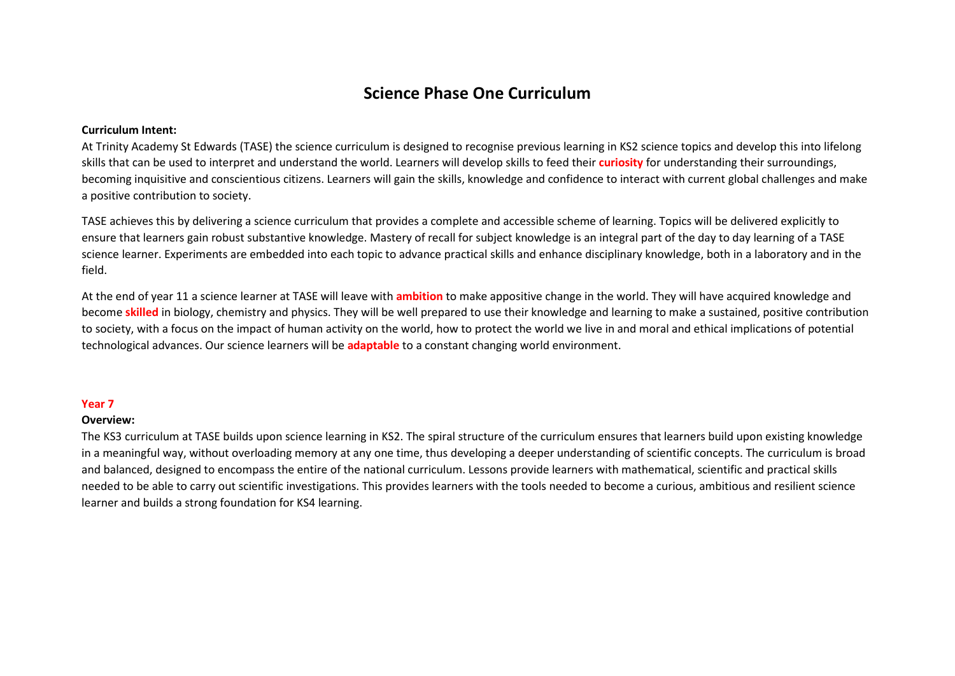## **Science Phase One Curriculum**

## **Curriculum Intent:**

At Trinity Academy St Edwards (TASE) the science curriculum is designed to recognise previous learning in KS2 science topics and develop this into lifelong skills that can be used to interpret and understand the world. Learners will develop skills to feed their **curiosity** for understanding their surroundings, becoming inquisitive and conscientious citizens. Learners will gain the skills, knowledge and confidence to interact with current global challenges and make a positive contribution to society.

TASE achieves this by delivering a science curriculum that provides a complete and accessible scheme of learning. Topics will be delivered explicitly to ensure that learners gain robust substantive knowledge. Mastery of recall for subject knowledge is an integral part of the day to day learning of a TASE science learner. Experiments are embedded into each topic to advance practical skills and enhance disciplinary knowledge, both in a laboratory and in the field.

At the end of year 11 a science learner at TASE will leave with **ambition** to make appositive change in the world. They will have acquired knowledge and become **skilled** in biology, chemistry and physics. They will be well prepared to use their knowledge and learning to make a sustained, positive contribution to society, with a focus on the impact of human activity on the world, how to protect the world we live in and moral and ethical implications of potential technological advances. Our science learners will be **adaptable** to a constant changing world environment.

## **Year 7**

## **Overview:**

The KS3 curriculum at TASE builds upon science learning in KS2. The spiral structure of the curriculum ensures that learners build upon existing knowledge in a meaningful way, without overloading memory at any one time, thus developing a deeper understanding of scientific concepts. The curriculum is broad and balanced, designed to encompass the entire of the national curriculum. Lessons provide learners with mathematical, scientific and practical skills needed to be able to carry out scientific investigations. This provides learners with the tools needed to become a curious, ambitious and resilient science learner and builds a strong foundation for KS4 learning.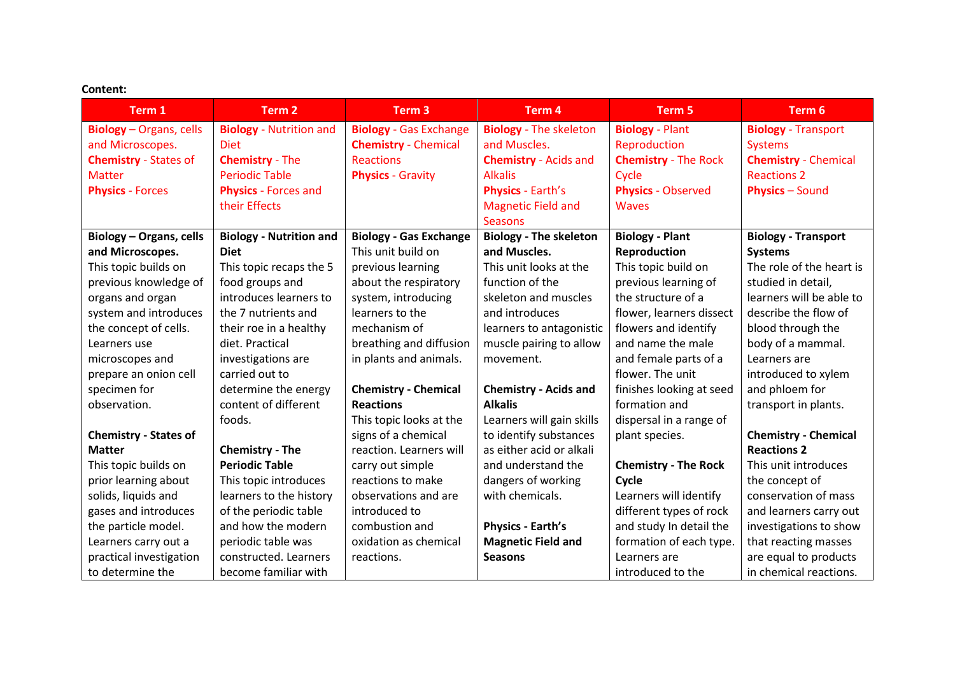| <b>Content:</b> |  |
|-----------------|--|
|                 |  |

| Content:                       |                                |                               |                               |                             |                             |  |  |  |
|--------------------------------|--------------------------------|-------------------------------|-------------------------------|-----------------------------|-----------------------------|--|--|--|
| Term 1                         | Term <sub>2</sub>              | Term <sub>3</sub>             | Term <sub>4</sub>             | Term 5                      | Term 6                      |  |  |  |
| <b>Biology</b> - Organs, cells | <b>Biology</b> - Nutrition and | <b>Biology - Gas Exchange</b> | <b>Biology</b> - The skeleton | <b>Biology</b> - Plant      | <b>Biology</b> - Transport  |  |  |  |
| and Microscopes.               | <b>Diet</b>                    | <b>Chemistry - Chemical</b>   | and Muscles.                  | Reproduction                | <b>Systems</b>              |  |  |  |
| <b>Chemistry - States of</b>   | <b>Chemistry - The</b>         | <b>Reactions</b>              | <b>Chemistry - Acids and</b>  | <b>Chemistry - The Rock</b> | <b>Chemistry - Chemical</b> |  |  |  |
| <b>Matter</b>                  | <b>Periodic Table</b>          | <b>Physics - Gravity</b>      | <b>Alkalis</b>                | Cycle                       | <b>Reactions 2</b>          |  |  |  |
| <b>Physics - Forces</b>        | <b>Physics</b> - Forces and    |                               | <b>Physics - Earth's</b>      | <b>Physics - Observed</b>   | <b>Physics - Sound</b>      |  |  |  |
|                                | their Effects                  |                               | <b>Magnetic Field and</b>     | <b>Waves</b>                |                             |  |  |  |
|                                |                                |                               | <b>Seasons</b>                |                             |                             |  |  |  |
| Biology - Organs, cells        | <b>Biology - Nutrition and</b> | <b>Biology - Gas Exchange</b> | <b>Biology - The skeleton</b> | <b>Biology - Plant</b>      | <b>Biology - Transport</b>  |  |  |  |
| and Microscopes.               | <b>Diet</b>                    | This unit build on            | and Muscles.                  | Reproduction                | <b>Systems</b>              |  |  |  |
| This topic builds on           | This topic recaps the 5        | previous learning             | This unit looks at the        | This topic build on         | The role of the heart is    |  |  |  |
| previous knowledge of          | food groups and                | about the respiratory         | function of the               | previous learning of        | studied in detail,          |  |  |  |
| organs and organ               | introduces learners to         | system, introducing           | skeleton and muscles          | the structure of a          | learners will be able to    |  |  |  |
| system and introduces          | the 7 nutrients and            | learners to the               | and introduces                | flower, learners dissect    | describe the flow of        |  |  |  |
| the concept of cells.          | their roe in a healthy         | mechanism of                  | learners to antagonistic      | flowers and identify        | blood through the           |  |  |  |
| Learners use                   | diet. Practical                | breathing and diffusion       | muscle pairing to allow       | and name the male           | body of a mammal.           |  |  |  |
| microscopes and                | investigations are             | in plants and animals.        | movement.                     | and female parts of a       | Learners are                |  |  |  |
| prepare an onion cell          | carried out to                 |                               |                               | flower. The unit            | introduced to xylem         |  |  |  |
| specimen for                   | determine the energy           | <b>Chemistry - Chemical</b>   | <b>Chemistry - Acids and</b>  | finishes looking at seed    | and phloem for              |  |  |  |
| observation.                   | content of different           | <b>Reactions</b>              | <b>Alkalis</b>                | formation and               | transport in plants.        |  |  |  |
|                                | foods.                         | This topic looks at the       | Learners will gain skills     | dispersal in a range of     |                             |  |  |  |
| <b>Chemistry - States of</b>   |                                | signs of a chemical           | to identify substances        | plant species.              | <b>Chemistry - Chemical</b> |  |  |  |
| <b>Matter</b>                  | <b>Chemistry - The</b>         | reaction. Learners will       | as either acid or alkali      |                             | <b>Reactions 2</b>          |  |  |  |
| This topic builds on           | <b>Periodic Table</b>          | carry out simple              | and understand the            | <b>Chemistry - The Rock</b> | This unit introduces        |  |  |  |
| prior learning about           | This topic introduces          | reactions to make             | dangers of working            | Cycle                       | the concept of              |  |  |  |
| solids, liquids and            | learners to the history        | observations and are          | with chemicals.               | Learners will identify      | conservation of mass        |  |  |  |
| gases and introduces           | of the periodic table          | introduced to                 |                               | different types of rock     | and learners carry out      |  |  |  |
| the particle model.            | and how the modern             | combustion and                | <b>Physics - Earth's</b>      | and study In detail the     | investigations to show      |  |  |  |
| Learners carry out a           | periodic table was             | oxidation as chemical         | <b>Magnetic Field and</b>     | formation of each type.     | that reacting masses        |  |  |  |
| practical investigation        | constructed. Learners          | reactions.                    | <b>Seasons</b>                | Learners are                | are equal to products       |  |  |  |
| to determine the               | become familiar with           |                               |                               | introduced to the           | in chemical reactions.      |  |  |  |